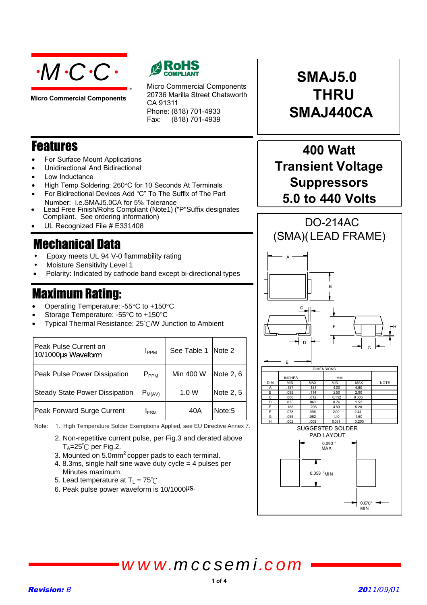

**Micro Commercial Components**



Micro Commercial Components 20736 Marilla Street Chatsworth CA 91311 Phone: (818) 701-4933 Fax:  $(818)$  701-4939

### Features

- For Surface Mount Applications
- Unidirectional And Bidirectional
- Low Inductance
- High Temp Soldering: 260°C for 10 Seconds At Terminals

TM

- For Bidirectional Devices Add "C" To The Suffix of The Part Number: i.e.SMAJ5.0CA for 5% Tolerance
- Lead Free Finish/Rohs Compliant (Note1) ("P"Suffix designates Compliant. See ordering information)
- UL Recognized File # E331408

## **Mechanical Data**

- Epoxy meets UL 94 V-0 flammability rating
- Moisture Sensitivity Level 1
- Polarity: Indicated by cathode band except bi-directional types

### **Maximum Rating:**

- Operating Temperature: -55°C to +150°C
- Storage Temperature: -55°C to +150°C
- Typical Thermal Resistance: 25°C/W Junction to Ambient

| Peak Pulse Current on<br>10/1000us Waveform | I <sub>PPM</sub> | See Table 1 | Note 2    |
|---------------------------------------------|------------------|-------------|-----------|
| Peak Pulse Power Dissipation                | $P_{PPM}$        | Min 400 W   | Note 2, 6 |
| <b>Steady State Power Dissipation</b>       | $P_{M(AV)}$      | 1.0 W       | Note 2, 5 |
| Peak Forward Surge Current                  | I <sub>FSM</sub> | 40A         | Note:5    |

Note: 1. High Temperature Solder Exemptions Applied, see EU Directive Annex 7.

- 2. Non-repetitive current pulse, per Fig.3 and derated above  $T_A = 25^\circ \text{C}$  per Fig.2.
- 3. Mounted on 5.0mm2 copper pads to each terminal.
- 4. 8.3ms, single half sine wave duty cycle = 4 pulses per Minutes maximum.
- 5. Lead temperature at  $T_{\text{L}} = 75^{\circ}$ C.
- 6. Peak pulse power waveform is 10/1000HS.



## **400 Watt Transient Voltage Suppressors 5.0 to 440 Volts**



# *www.mccsemi.com*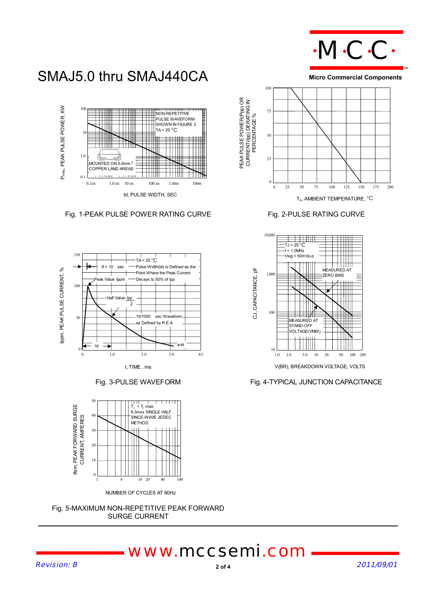

SMAJ5.0 thru SMAJ440CA



Fig. 1-PEAK PULSE POWER RATING CURVE Fig. 2-PULSE RATING CURVE







NUMBER OF CYCLES AT 60Hz



# *www.mccsemi.com*

Revision: B 2011/09/01

**Micro Commercial Components**





Fig. 3-PULSE WAVEFORM Fig. 4-TYPICAL JUNCTION CAPACITANCE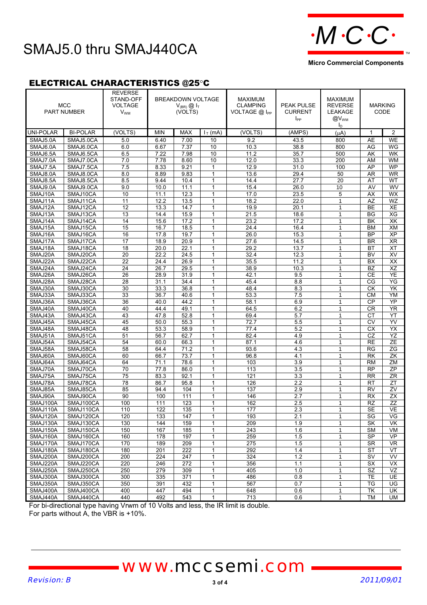

#### **Micro Commercial Components**

### ELECTRICAL CHARACTERISTICS @25°C

|                  | <b>MCC</b><br><b>PART NUMBER</b> | <b>REVERSE</b><br>STAND-OFF<br><b>VOLTAGE</b><br><b>V<sub>WM</sub></b> |            | <b>BREAKDOWN VOLTAGE</b><br>$V_{(BR)}$ $\textcircled{1}_{T}$<br>(VOLTS) |              | <b>MAXIMUM</b><br><b>CLAMPING</b><br>VOLTAGE $@$ $ _{PP}$ | <b>PEAK PULSE</b><br><b>CURRENT</b><br>$I_{PP}$ | <b>MAXIMUM</b><br><b>REVERSE</b><br><b>LEAKAGE</b><br>@V <sub>WM</sub><br>I <sub>D</sub> |                          | <b>MARKING</b><br>CODE |
|------------------|----------------------------------|------------------------------------------------------------------------|------------|-------------------------------------------------------------------------|--------------|-----------------------------------------------------------|-------------------------------------------------|------------------------------------------------------------------------------------------|--------------------------|------------------------|
| <b>UNI-POLAR</b> | <b>BI-POLAR</b>                  | (VOLTS)                                                                | <b>MIN</b> | <b>MAX</b>                                                              | $IT$ (mA)    | (VOLTS)                                                   | (AMPS)                                          | (uA)                                                                                     | 1                        | $\overline{2}$         |
| SMAJ5.0A         | SMAJ5.0CA                        | 5.0                                                                    | 6.40       | 7.00                                                                    | 10           | 9.2                                                       | 43.5                                            | 800                                                                                      | <b>AE</b>                | <b>WE</b>              |
| SMAJ6.0A         | SMAJ6.0CA                        | 6.0                                                                    | 6.67       | 7.37                                                                    | 10           | 10.3                                                      | 38.8                                            | 800                                                                                      | AG                       | WG                     |
| SMAJ6.5A         | SMAJ6.5CA                        | 6.5                                                                    | 7.22       | 7.98                                                                    | 10           | 11.2                                                      | 35.7                                            | 500                                                                                      | AK                       | <b>WK</b>              |
| SMAJ7.0A         | SMAJ7.0CA                        | 7.0                                                                    | 7.78       | 8.60                                                                    | 10           | 12.0                                                      | 33.3                                            | 200                                                                                      | AM                       | <b>WM</b>              |
| SMAJ7.5A         | SMAJ7.5CA                        | 7.5                                                                    | 8.33       | 9.21                                                                    | $\mathbf{1}$ | 12.9                                                      | 31.0                                            | 100                                                                                      | AP                       | WP                     |
| SMAJ8.0A         | SMAJ8.0CA                        | 8.0                                                                    | 8.89       | 9.83                                                                    | $\mathbf{1}$ | 13.6                                                      | 29.4                                            | 50                                                                                       | <b>AR</b>                | <b>WR</b>              |
| SMAJ8.5A         | SMAJ8.5CA                        | 8.5                                                                    | 9.44       | 10.4                                                                    | 1            | 14.4                                                      | 27.7                                            | 20                                                                                       | AT                       | <b>WT</b>              |
| SMAJ9.0A         | SMAJ9.0CA                        | 9.0                                                                    | 10.0       | 11.1                                                                    | $\mathbf{1}$ | 15.4                                                      | 26.0                                            | 10                                                                                       | AV                       | WV                     |
| SMAJ10A          | SMAJ10CA                         | 10                                                                     | 11.1       | 12.3                                                                    | $\mathbf{1}$ | 17.0                                                      | 23.5                                            | 5                                                                                        | <b>AX</b>                | <b>WX</b>              |
| SMAJ11A          | SMAJ11CA                         | $\overline{11}$                                                        | 12.2       | 13.5                                                                    | $\mathbf{1}$ | 18.2                                                      | 22.0                                            | $\mathbf{1}$                                                                             | $\overline{AZ}$          | WZ                     |
| SMAJ12A          | SMAJ12CA                         | 12                                                                     | 13.3       | 14.7                                                                    | 1            | 19.9                                                      | 20.1                                            | 1                                                                                        | <b>BE</b>                | XE                     |
| SMAJ13A          | SMAJ13CA                         | 13                                                                     | 14.4       | 15.9                                                                    | $\mathbf{1}$ | 21.5                                                      | 18.6                                            | 1                                                                                        | <b>BG</b>                | XG                     |
| SMAJ14A          | SMAJ14CA                         | 14                                                                     | 15.6       | 17.2                                                                    | $\mathbf{1}$ | 23.2                                                      | 17.2                                            | 1                                                                                        | <b>BK</b>                | XK                     |
| SMAJ15A          | SMAJ15CA                         | $\overline{15}$                                                        | 16.7       | 18.5                                                                    | 1            | 24.4                                                      | 16.4                                            | 1                                                                                        | <b>BM</b>                | XM                     |
| SMAJ16A          | SMAJ16CA                         | 16                                                                     | 17.8       | 19.7                                                                    | $\mathbf{1}$ | 26.0                                                      | 15.3                                            | $\mathbf{1}$                                                                             | BP                       | $\overline{XP}$        |
| SMAJ17A          | SMAJ17CA                         | 17                                                                     | 18.9       | 20.9                                                                    | 1            | 27.6                                                      | 14.5                                            | 1                                                                                        | <b>BR</b>                | <b>XR</b>              |
| SMAJ18A          | SMAJ18CA                         | $\overline{18}$                                                        | 20.0       | 22.1                                                                    | $\mathbf{1}$ | 29.2                                                      | 13.7                                            | $\mathbf{1}$                                                                             | BT                       | <b>XT</b>              |
| SMAJ20A          | SMAJ20CA                         | 20                                                                     | 22.2       | 24.5                                                                    | 1            | 32.4                                                      | 12.3                                            | $\mathbf{1}$                                                                             | <b>BV</b>                | <b>XV</b>              |
| SMAJ22A          | SMAJ22CA                         | $\overline{22}$                                                        | 24.4       | 26.9                                                                    | 1            | 35.5                                                      | 11.2                                            | 1                                                                                        | BX                       | $\overline{XX}$        |
| SMAJ24A          | SMAJ24CA                         | 24                                                                     | 26.7       | 29.5                                                                    | $\mathbf{1}$ | 38.9                                                      | 10.3                                            | 1                                                                                        | <b>BZ</b>                | XZ                     |
| SMAJ26A          | SMAJ26CA                         | 26                                                                     | 28.9       | 31.9                                                                    | 1            | 42.1                                                      | 9.5                                             | $\mathbf{1}$                                                                             | CE                       | YE                     |
| SMAJ28A          | SMAJ28CA                         | 28                                                                     | 31.1       | 34.4                                                                    | $\mathbf{1}$ | 45.4                                                      | 8.8                                             | $\mathbf{1}$                                                                             | CG                       | $\overline{YG}$        |
| SMAJ30A          | SMAJ30CA                         | 30                                                                     | 33.3       | 36.8                                                                    | 1            | 48.4                                                      | 8.3                                             | 1                                                                                        | CK                       | YK                     |
| SMAJ33A          | SMAJ33CA                         | 33                                                                     | 36.7       | 40.6                                                                    | $\mathbf{1}$ | 53.3                                                      | 7.5                                             | $\mathbf{1}$                                                                             | <b>CM</b>                | YM                     |
| SMAJ36A          | SMAJ36CA                         | 36                                                                     | 40.0       | 44.2                                                                    | 1            | 58.1                                                      | 6.9                                             | 1                                                                                        | <b>CP</b>                | YP                     |
| SMAJ40A          | SMAJ40CA                         | 40                                                                     | 44.4       | 49.1                                                                    | $\mathbf{1}$ | 64.5                                                      | 6.2                                             | $\mathbf{1}$                                                                             | CR                       | <b>YR</b>              |
| SMAJ43A          | SMAJ43CA                         | 43                                                                     | 47.8       | 52.8                                                                    | 1            | 69.4                                                      | 5.7                                             | 1                                                                                        | СT                       | YT                     |
| SMAJ45A          | SMAJ45CA                         | 45                                                                     | 50.0       | 55.3                                                                    | $\mathbf{1}$ | 72.7                                                      | 5.5                                             | $\mathbf{1}$                                                                             | <b>CV</b>                | YV                     |
| SMAJ48A          | SMAJ48CA                         | 48                                                                     | 53.3       | 58.9                                                                    | $\mathbf{1}$ | 77.4                                                      | 5.2                                             | 1                                                                                        | $\overline{CX}$          | $\overline{YX}$        |
| SMAJ51A          | SMAJ51CA                         | 51                                                                     | 56.7       | 62.7                                                                    | $\mathbf{1}$ | 82.4                                                      | 4.9                                             | $\mathbf{1}$                                                                             | CZ                       | YZ                     |
| SMAJ54A          | SMAJ54CA                         | 54                                                                     | 60.0       | 66.3                                                                    | $\mathbf{1}$ | 87.1                                                      | 4.6                                             | $\mathbf{1}$                                                                             | <b>RE</b>                | <b>ZE</b>              |
| SMAJ58A          | SMAJ58CA                         | 58                                                                     | 64.4       | 71.2                                                                    | 1            | 93.6                                                      | 4.3                                             | $\mathbf{1}$                                                                             | RG                       | ΖG                     |
| SMAJ60A          | SMAJ60CA                         | 60                                                                     | 66.7       | 73.7                                                                    | $\mathbf{1}$ | 96.8                                                      | 4.1                                             | $\mathbf{1}$                                                                             | $\overline{\mathsf{RK}}$ | ZK                     |
| SMAJ64A          | SMAJ64CA                         | 64                                                                     | 71.1       | 78.6                                                                    | $\mathbf{1}$ | 103                                                       | 3.9                                             | $\mathbf{1}$                                                                             | <b>RM</b>                | ZM                     |
| SMAJ70A          | SMAJ70CA                         | 70                                                                     | 77.8       | 86.0                                                                    | 1            | 113                                                       | 3.5                                             | $\mathbf{1}$                                                                             | <b>RP</b>                | <b>ZP</b>              |
| SMAJ75A          | SMAJ75CA                         | 75                                                                     | 83.3       | 92.1                                                                    | $\mathbf{1}$ | 121                                                       | 3.3                                             | $\mathbf{1}$                                                                             | <b>RR</b>                | ZR                     |
| SMAJ78A          | SMAJ78CA                         | 78                                                                     | 86.7       | 95.8                                                                    | $\mathbf{1}$ | 126                                                       | 2.2                                             | $\mathbf{1}$                                                                             | <b>RT</b>                | ΖT                     |
| SMAJ85A          | SMAJ85CA                         | 85                                                                     | 94.4       | 104                                                                     | $\mathbf{1}$ | 137                                                       | 2.9                                             | $\mathbf{1}$                                                                             | <b>RV</b>                | ZV                     |
| SMAJ90A          | SMAJ90CA                         | 90                                                                     | 100        | 111                                                                     | 1            | 146                                                       | 2.7                                             | 1                                                                                        | <b>RX</b>                | <b>ZX</b>              |
| SMAJ100A         | SMAJ100CA                        | 100                                                                    | 111        | 123                                                                     | $\mathbf{1}$ | 162                                                       | 2.5                                             | $\mathbf{1}$                                                                             | <b>RZ</b>                | ZZ                     |
| SMAJ110A         | SMAJ110CA                        | 110                                                                    | 122        | 135                                                                     | 1            | 177                                                       | 2.3                                             | 1                                                                                        | <b>SE</b>                | <b>VE</b>              |
| SMAJ120A         | SMAJ120CA                        | 120                                                                    | 133        | 147                                                                     | 1            | 193                                                       | 2.1                                             | 1                                                                                        | SG                       | VG                     |
| SMAJ130A         | SMAJ130CA                        | 130                                                                    | 144        | 159                                                                     | 1            | 209                                                       | 1.9                                             | 1                                                                                        | SK                       | <b>VK</b>              |
| SMAJ150A         | SMAJ150CA                        | 150                                                                    | 167        | 185                                                                     | 1            | 243                                                       | 1.6                                             | 1                                                                                        | SM                       | VM                     |
| SMAJ160A         | SMAJ160CA                        | 160                                                                    | 178        | 197                                                                     | $\mathbf{1}$ | 259                                                       | 1.5                                             | 1                                                                                        | <b>SP</b>                | <b>VP</b>              |
| SMAJ170A         | SMAJ170CA                        | 170                                                                    | 189        | 209                                                                     | 1            | 275                                                       | 1.5                                             | 1                                                                                        | <b>SR</b>                | <b>VR</b>              |
| SMAJ180A         | SMAJ180CA                        | 180                                                                    | 201        | 222                                                                     | $\mathbf{1}$ | 292                                                       | 1.4                                             | $\mathbf{1}$                                                                             | <b>ST</b>                | VT                     |
| SMAJ200A         | SMAJ200CA                        | 200                                                                    | 224        | 247                                                                     | 1            | 324                                                       | 1.2                                             | 1                                                                                        | <b>SV</b>                | VV                     |
| SMAJ220A         | SMAJ220CA                        | 220                                                                    | 246        | 272                                                                     | $\mathbf{1}$ | 356                                                       | 1.1                                             | 1                                                                                        | <b>SX</b>                | VX                     |
| SMAJ250A         | SMAJ250CA                        | 250                                                                    | 279        | 309                                                                     | 1            | 405                                                       | 1.0                                             | 1                                                                                        | SZ                       | VZ                     |
| SMAJ300A         | SMAJ300CA                        | 300                                                                    | 335        | 371                                                                     | 1            | 486                                                       | 0.8                                             | 1                                                                                        | TE                       | UE                     |
| SMAJ350A         | SMAJ350CA                        | 350                                                                    | 391        | 432                                                                     | 1            | 567                                                       | 0.7                                             | $\mathbf{1}$                                                                             | TG                       | UG                     |
| SMAJ400A         | SMAJ400CA                        | 400                                                                    | 447        | 494                                                                     | $\mathbf{1}$ | 648                                                       | 0.6                                             | 1                                                                                        | TK                       | UK                     |
| SMAJ440A         | SMAJ440CA                        | 440                                                                    | 492        | 543                                                                     | $\mathbf{1}$ | 713                                                       | 0.6                                             | $\mathbf{1}$                                                                             | <b>TM</b>                | <b>UM</b>              |

For bi-directional type having Vrwm of 10 Volts and less, the IR limit is double.

For parts without A, the VBR is +10%.

# *www.mccsemi.com*